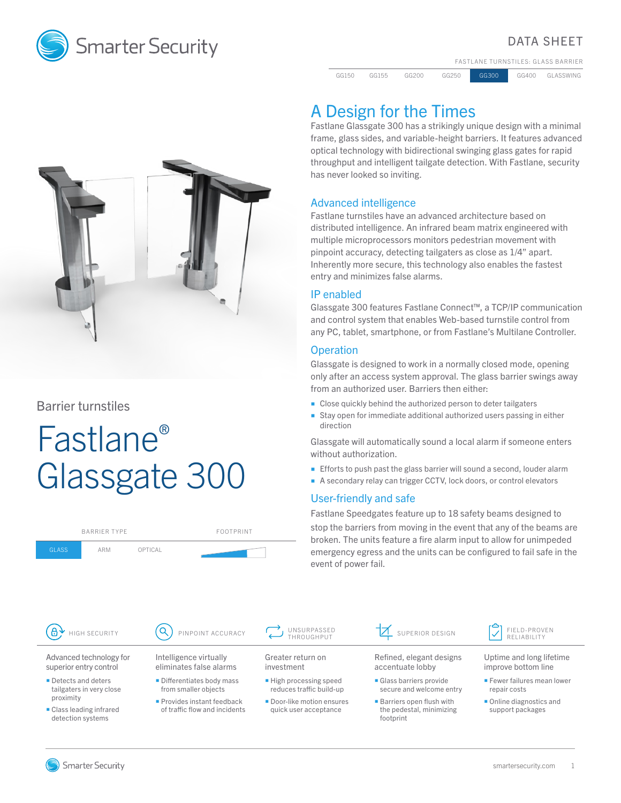

#### DATA SHEET

FASTLANE TURNSTILES: GLASS BARRIER

GG150 GG155 GG200 GG250 GG300 GG400 GLASSWING



Barrier turnstiles

# Fastlane® Glassgate 300

| <b>BARRIER TYPE</b>  |     |         | FOOTPRINT         |  |
|----------------------|-----|---------|-------------------|--|
| <b>GLASS</b>         | ARM | OPTICAL |                   |  |
|                      |     |         |                   |  |
|                      |     |         |                   |  |
|                      |     |         |                   |  |
| (සි<br>HIGH SECURITY |     |         | PINPOINT ACCURACY |  |

## A Design for the Times

Fastlane Glassgate 300 has a strikingly unique design with a minimal frame, glass sides, and variable-height barriers. It features advanced optical technology with bidirectional swinging glass gates for rapid throughput and intelligent tailgate detection. With Fastlane, security has never looked so inviting.

#### Advanced intelligence

Fastlane turnstiles have an advanced architecture based on distributed intelligence. An infrared beam matrix engineered with multiple microprocessors monitors pedestrian movement with pinpoint accuracy, detecting tailgaters as close as 1/4" apart. Inherently more secure, this technology also enables the fastest entry and minimizes false alarms.

#### IP enabled

Glassgate 300 features Fastlane Connect™, a TCP/IP communication and control system that enables Web-based turnstile control from any PC, tablet, smartphone, or from Fastlane's Multilane Controller.

#### **Operation**

Glassgate is designed to work in a normally closed mode, opening only after an access system approval. The glass barrier swings away from an authorized user. Barriers then either:

- Close quickly behind the authorized person to deter tailgaters
- Stay open for immediate additional authorized users passing in either direction

Glassgate will automatically sound a local alarm if someone enters without authorization.

- **Efforts to push past the glass barrier will sound a second, louder alarm**
- A secondary relay can trigger CCTV, lock doors, or control elevators

#### User-friendly and safe

Fastlane Speedgates feature up to 18 safety beams designed to stop the barriers from moving in the event that any of the beams are broken. The units feature a fire alarm input to allow for unimpeded emergency egress and the units can be configured to fail safe in the event of power fail.